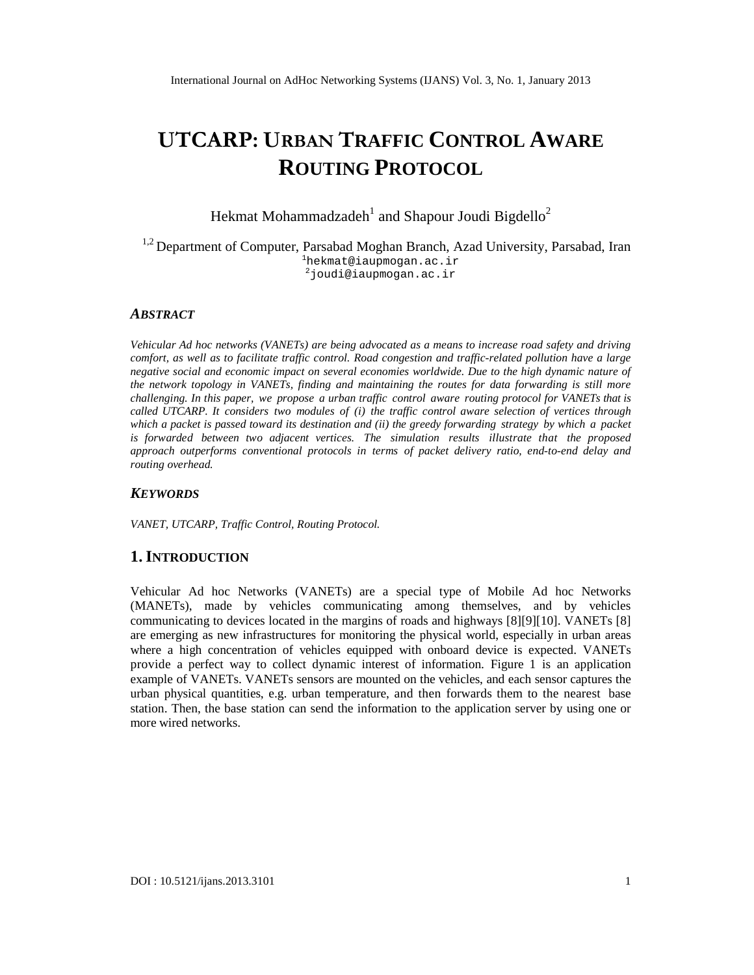# UTCARUR: BANTRAFFIC CONTROL AWARE ROUTING PROTOCOL

# HekmatMohammadzade hand ShapourJoudi Bigdello

#### <sup>1,2</sup> Department oComputer, Parsabad Moghan Branch, Azad University, Parsabad, Iran <sup>1</sup>[hekmat@iaupmogan.ac.ir](mailto:1hekmat@iaupmogan.ac) 2 [joudi@iaupmogan.ac.ir](mailto:2joudi@iaupmogan.ac)

# ABSTRACT

Vehicular Ad hoc networks (VANETs) are being advocated as a means to increase road safety and driving comfort, as well as to facilitate traffic controlado congestion and at fic-related pollution have a large negative social and economic impact on several economies worldwide. Due to the high dynamic nature of the network topology in VANETs, finding and maintaining the routes for data forwarding is still more challenging.In this paper, we propose a urbantraffic control aware routing protocol for VANETs that is called UTCARPJt considers two modules of (i) the traffic control aware selection of vertices through which a packet is passed toward its destnation and (ii) the greedy forwarding strategy by which a packet is forwarded between two adjacent vertices. The simulation results illustrate that the proposed approach outperforms conventional protocols in terms of packet delivery ratio, end-to-end delay and routing overhead.

# **KEYWORDS**

VANET, UTCARP, Traffic Control, Ruting Protocol.

# 1.I NTRODUCTION

Vehicular Ad hoc Networks (VANETs) are a special type of Mobile Ad hoc Networks (MANETs), made by vehicles communicating among themselves, and by vehicles communicating to deves located in the margins of roads and highways [10]. VANETs [8] are emerging as new infrastructures for monitoring the physical world, especially in urban areas where a high concentration of vehicles equipped with onboard device is expeded. VANETs provide a perfect way to collect dynamic interest of information. Figure 1 is an application example of VANETs. VANETs sensors are mounted on the vehicles, and each sensorcaptures the urban physical quantities, e.g.urban temperature, and then forwardsthem to the nearestbase station. Then, the basestation cansend the information to the application server by using one or morewirednetworks.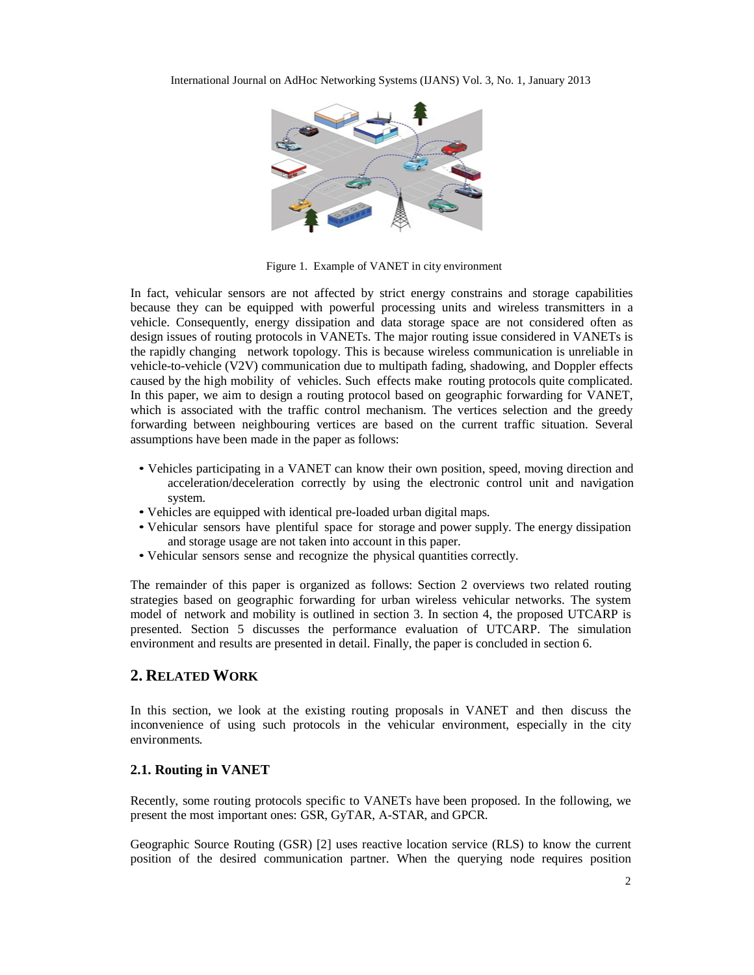

Figure 1. Example of VANET in city environment

In fact, vehicular sensors are not affected by strict energy constrains and storage capabilities because they can be equipped with powerful processing units and wireless transmitters in a vehicle. Consequently, energy dissipation and data storage space are not considered often as design issues of routing protocols in VANETs. The major routing issue considered in VANETs is the rapidly changing network topology. This is because wireless communication is unreliable in vehicle-to-vehicle (V2V) communication due to multipath fading, shadowing, and Doppler effects caused by the high mobility of vehicles. Such effects make routing protocols quite complicated. In this paper, we aim to design a routing protocol based on geographic forwarding for VANET, which is associated with the traffic control mechanism. The vertices selection and the greedy forwarding between neighbouring vertices are based on the current traffic situation. Several assumptions have been made in the paper as follows:

- Vehicles participating in a VANET can know their own position, speed, moving direction and acceleration/deceleration correctly by using the electronic control unit and navigation system.
- Vehicles are equipped with identical pre-loaded urban digital maps.
- Vehicular sensors have plentiful space for storage and power supply. The energy dissipation and storage usage are not taken into account in this paper.
- Vehicular sensors sense and recognize the physical quantities correctly.

The remainder of this paper is organized as follows: Section 2 overviews two related routing strategies based on geographic forwarding for urban wireless vehicular networks. The system model of network and mobility is outlined in section 3. In section 4, the proposed UTCARP is presented. Section 5 discusses the performance evaluation of UTCARP. The simulation environment and results are presented in detail. Finally, the paper is concluded in section 6.

# **2. RELATED WORK**

In this section, we look at the existing routing proposals in VANET and then discuss the inconvenience of using such protocols in the vehicular environment, especially in the city environments.

#### **2.1. Routing in VANET**

Recently, some routing protocols specific to VANETs have been proposed. In the following, we present the most important ones: GSR, GyTAR, A-STAR, and GPCR.

Geographic Source Routing (GSR) [2] uses reactive location service (RLS) to know the current position of the desired communication partner. When the querying node requires position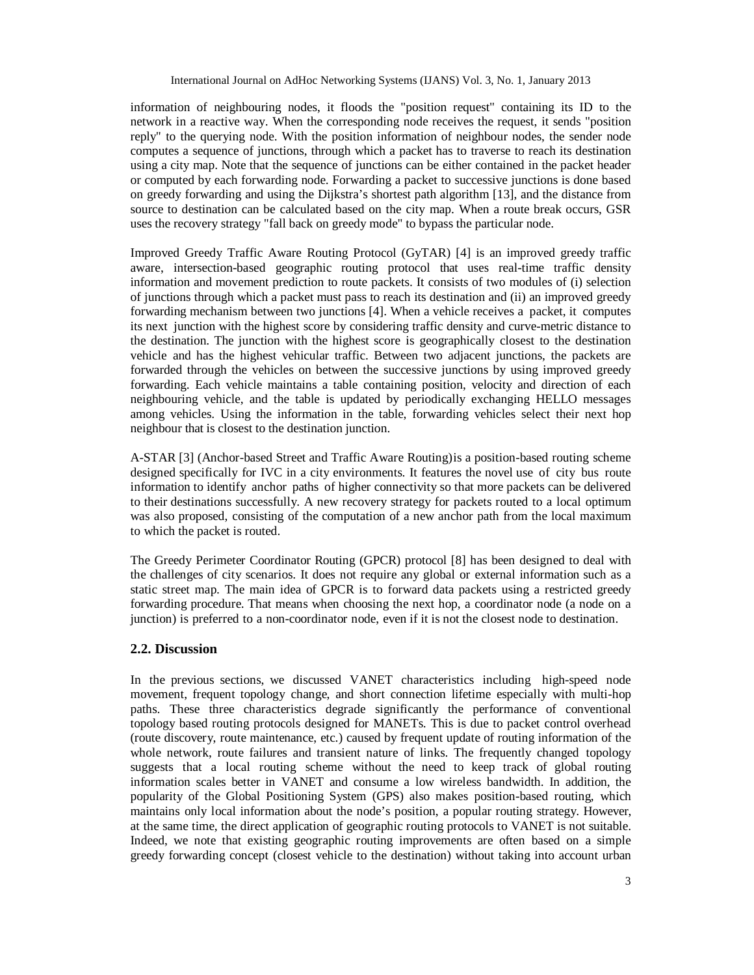information of neighbouring nodes, it floods the "position request" containing its ID to the network in a reactive way. When the corresponding node receives the request, it sends "position reply" to the querying node. With the position information of neighbour nodes, the sender node computes a sequence of junctions, through which a packet has to traverse to reach its destination using a city map. Note that the sequence of junctions can be either contained in the packet header or computed by each forwarding node. Forwarding a packet to successive junctions is done based on greedy forwarding and using the Dijkstra's shortest path algorithm [13], and the distance from source to destination can be calculated based on the city map. When a route break occurs, GSR uses the recovery strategy "fall back on greedy mode" to bypass the particular node.

Improved Greedy Traffic Aware Routing Protocol (GyTAR) [4] is an improved greedy traffic aware, intersection-based geographic routing protocol that uses real-time traffic density information and movement prediction to route packets. It consists of two modules of (i) selection of junctions through which a packet must pass to reach its destination and (ii) an improved greedy forwarding mechanism between two junctions [4]. When a vehicle receives a packet, it computes its next junction with the highest score by considering traffic density and curve-metric distance to the destination. The junction with the highest score is geographically closest to the destination vehicle and has the highest vehicular traffic. Between two adjacent junctions, the packets are forwarded through the vehicles on between the successive junctions by using improved greedy forwarding. Each vehicle maintains a table containing position, velocity and direction of each neighbouring vehicle, and the table is updated by periodically exchanging HELLO messages among vehicles. Using the information in the table, forwarding vehicles select their next hop neighbour that is closest to the destination junction.

A-STAR [3] (Anchor-based Street and Traffic Aware Routing)is a position-based routing scheme designed specifically for IVC in a city environments. It features the novel use of city bus route information to identify anchor paths of higher connectivity so that more packets can be delivered to their destinations successfully. A new recovery strategy for packets routed to a local optimum was also proposed, consisting of the computation of a new anchor path from the local maximum to which the packet is routed.

The Greedy Perimeter Coordinator Routing (GPCR) protocol [8] has been designed to deal with the challenges of city scenarios. It does not require any global or external information such as a static street map. The main idea of GPCR is to forward data packets using a restricted greedy forwarding procedure. That means when choosing the next hop, a coordinator node (a node on a junction) is preferred to a non-coordinator node, even if it is not the closest node to destination.

#### **2.2. Discussion**

In the previous sections, we discussed VANET characteristics including high-speed node movement, frequent topology change, and short connection lifetime especially with multi-hop paths. These three characteristics degrade significantly the performance of conventional topology based routing protocols designed for MANETs. This is due to packet control overhead (route discovery, route maintenance, etc.) caused by frequent update of routing information of the whole network, route failures and transient nature of links. The frequently changed topology suggests that a local routing scheme without the need to keep track of global routing information scales better in VANET and consume a low wireless bandwidth. In addition, the popularity of the Global Positioning System (GPS) also makes position-based routing, which maintains only local information about the node's position, a popular routing strategy. However, at the same time, the direct application of geographic routing protocols to VANET is not suitable. Indeed, we note that existing geographic routing improvements are often based on a simple greedy forwarding concept (closest vehicle to the destination) without taking into account urban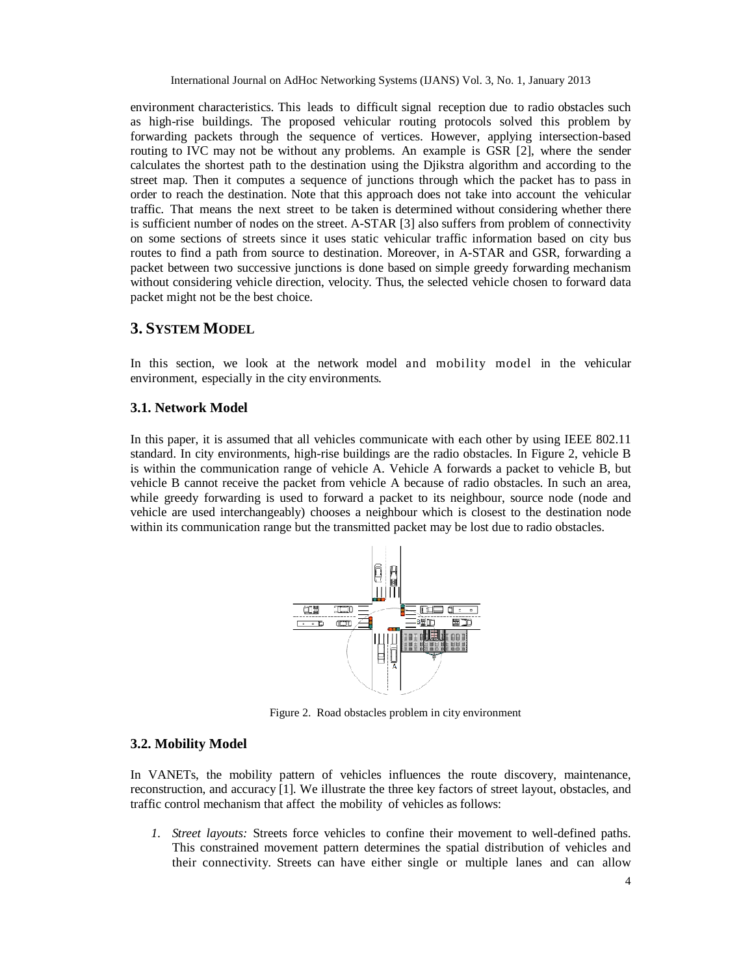environment characteristics. This leads to difficult signal reception due to radio obstacles such as high-rise buildings. The proposed vehicular routing protocols solved this problem by forwarding packets through the sequence of vertices. However, applying intersection-based routing to IVC may not be without any problems. An example is GSR [2], where the sender calculates the shortest path to the destination using the Djikstra algorithm and according to the street map. Then it computes a sequence of junctions through which the packet has to pass in order to reach the destination. Note that this approach does not take into account the vehicular traffic. That means the next street to be taken is determined without considering whether there is sufficient number of nodes on the street. A-STAR [3] also suffers from problem of connectivity on some sections of streets since it uses static vehicular traffic information based on city bus routes to find a path from source to destination. Moreover, in A-STAR and GSR, forwarding a packet between two successive junctions is done based on simple greedy forwarding mechanism without considering vehicle direction, velocity. Thus, the selected vehicle chosen to forward data packet might not be the best choice.

# **3. SYSTEM MODEL**

In this section, we look at the network model and mobility model in the vehicular environment, especially in the city environments.

#### **3.1. Network Model**

In this paper, it is assumed that all vehicles communicate with each other by using IEEE 802.11 standard. In city environments, high-rise buildings are the radio obstacles. In Figure 2, vehicle B is within the communication range of vehicle A. Vehicle A forwards a packet to vehicle B, but vehicle B cannot receive the packet from vehicle A because of radio obstacles. In such an area, while greedy forwarding is used to forward a packet to its neighbour, source node (node and vehicle are used interchangeably) chooses a neighbour which is closest to the destination node within its communication range but the transmitted packet may be lost due to radio obstacles.



Figure 2. Road obstacles problem in city environment

#### **3.2. Mobility Model**

In VANETs, the mobility pattern of vehicles influences the route discovery, maintenance, reconstruction, and accuracy [1]. We illustrate the three key factors of street layout, obstacles, and traffic control mechanism that affect the mobility of vehicles as follows:

*1. Street layouts:* Streets force vehicles to confine their movement to well-defined paths. This constrained movement pattern determines the spatial distribution of vehicles and their connectivity. Streets can have either single or multiple lanes and can allow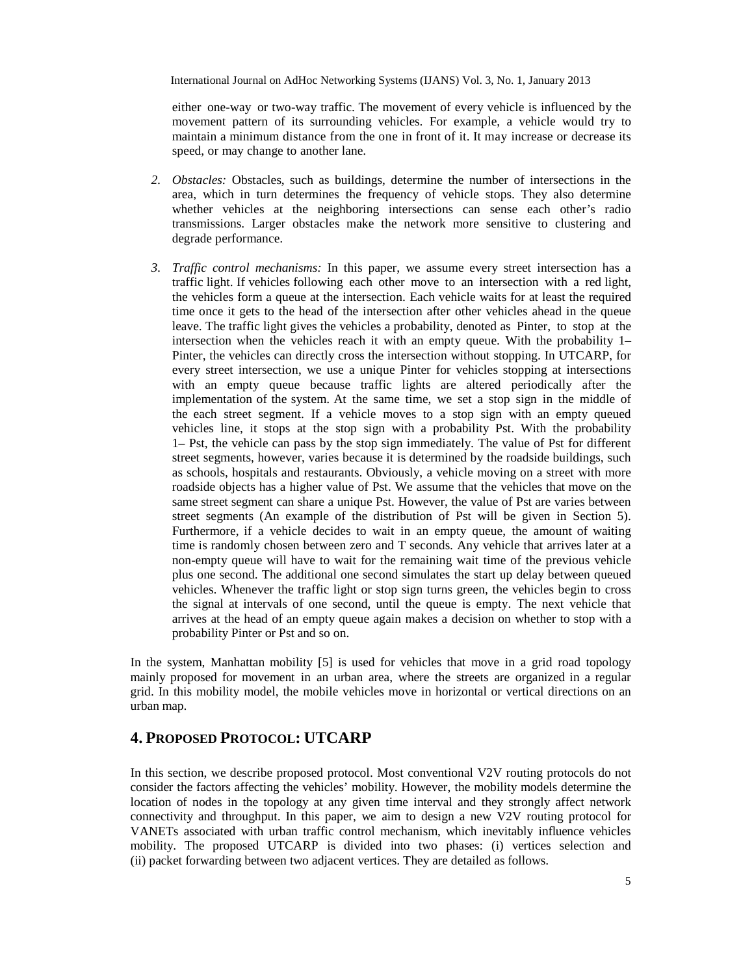either one-way or two-way traffic. The movement of every vehicle is influenced by the movement pattern of its surrounding vehicles. For example, a vehicle would try to maintain a minimum distance from the one in front of it. It may increase or decrease its speed, or may change to another lane.

- *2. Obstacles:* Obstacles, such as buildings, determine the number of intersections in the area, which in turn determines the frequency of vehicle stops. They also determine whether vehicles at the neighboring intersections can sense each other's radio transmissions. Larger obstacles make the network more sensitive to clustering and degrade performance.
- *3. Traffic control mechanisms:* In this paper, we assume every street intersection has a traffic light. If vehicles following each other move to an intersection with a red light, the vehicles form a queue at the intersection. Each vehicle waits for at least the required time once it gets to the head of the intersection after other vehicles ahead in the queue leave. The traffic light gives the vehicles a probability, denoted as Pinter, to stop at the intersection when the vehicles reach it with an empty queue. With the probability 1– Pinter, the vehicles can directly cross the intersection without stopping. In UTCARP, for every street intersection, we use a unique Pinter for vehicles stopping at intersections with an empty queue because traffic lights are altered periodically after the implementation of the system. At the same time, we set a stop sign in the middle of the each street segment. If a vehicle moves to a stop sign with an empty queued vehicles line, it stops at the stop sign with a probability Pst. With the probability 1– Pst, the vehicle can pass by the stop sign immediately. The value of Pst for different street segments, however, varies because it is determined by the roadside buildings, such as schools, hospitals and restaurants. Obviously, a vehicle moving on a street with more roadside objects has a higher value of Pst. We assume that the vehicles that move on the same street segment can share a unique Pst. However, the value of Pst are varies between street segments (An example of the distribution of Pst will be given in Section 5). Furthermore, if a vehicle decides to wait in an empty queue, the amount of waiting time is randomly chosen between zero and T seconds. Any vehicle that arrives later at a non-empty queue will have to wait for the remaining wait time of the previous vehicle plus one second. The additional one second simulates the start up delay between queued vehicles. Whenever the traffic light or stop sign turns green, the vehicles begin to cross the signal at intervals of one second, until the queue is empty. The next vehicle that arrives at the head of an empty queue again makes a decision on whether to stop with a probability Pinter or Pst and so on.

In the system, Manhattan mobility [5] is used for vehicles that move in a grid road topology mainly proposed for movement in an urban area, where the streets are organized in a regular grid. In this mobility model, the mobile vehicles move in horizontal or vertical directions on an urban map.

# **4. PROPOSED PROTOCOL: UTCARP**

In this section, we describe proposed protocol. Most conventional V2V routing protocols do not consider the factors affecting the vehicles' mobility. However, the mobility models determine the location of nodes in the topology at any given time interval and they strongly affect network connectivity and throughput. In this paper, we aim to design a new V2V routing protocol for VANETs associated with urban traffic control mechanism, which inevitably influence vehicles mobility. The proposed UTCARP is divided into two phases: (i) vertices selection and (ii) packet forwarding between two adjacent vertices. They are detailed as follows.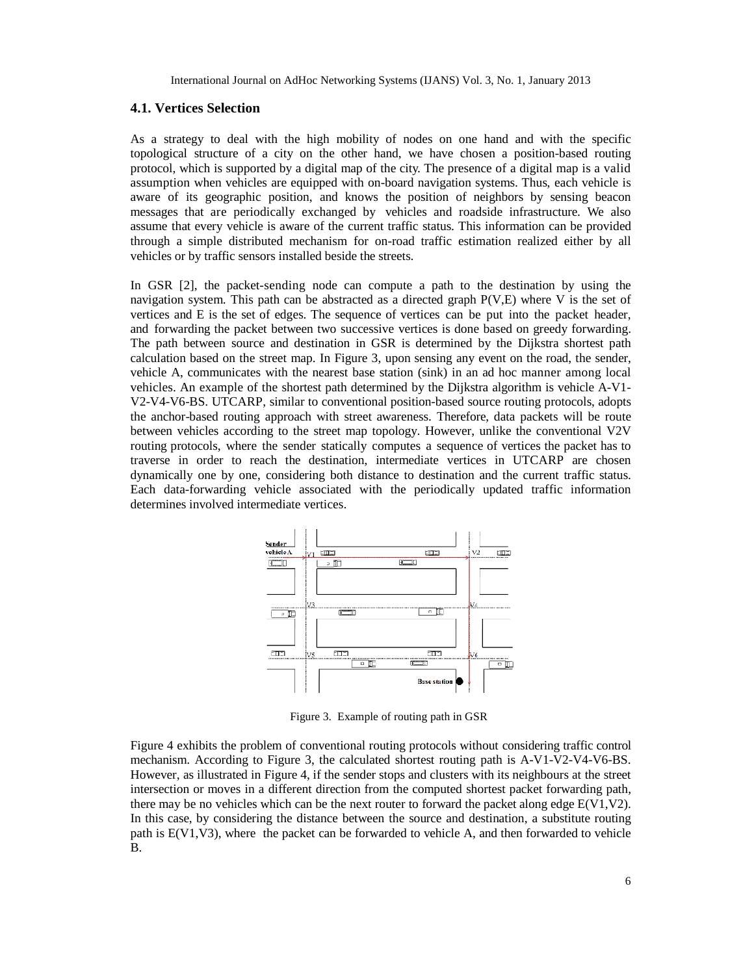#### **4.1. Vertices Selection**

As a strategy to deal with the high mobility of nodes on one hand and with the specific topological structure of a city on the other hand, we have chosen a position-based routing protocol, which is supported by a digital map of the city. The presence of a digital map is a valid assumption when vehicles are equipped with on-board navigation systems. Thus, each vehicle is aware of its geographic position, and knows the position of neighbors by sensing beacon messages that are periodically exchanged by vehicles and roadside infrastructure. We also assume that every vehicle is aware of the current traffic status. This information can be provided through a simple distributed mechanism for on-road traffic estimation realized either by all vehicles or by traffic sensors installed beside the streets.

In GSR [2], the packet-sending node can compute a path to the destination by using the navigation system. This path can be abstracted as a directed graph  $P(V,E)$  where V is the set of vertices and E is the set of edges. The sequence of vertices can be put into the packet header, and forwarding the packet between two successive vertices is done based on greedy forwarding. The path between source and destination in GSR is determined by the Dijkstra shortest path calculation based on the street map. In Figure 3, upon sensing any event on the road, the sender, vehicle A, communicates with the nearest base station (sink) in an ad hoc manner among local vehicles. An example of the shortest path determined by the Dijkstra algorithm is vehicle A-V1- V2-V4-V6-BS. UTCARP, similar to conventional position-based source routing protocols, adopts the anchor-based routing approach with street awareness. Therefore, data packets will be route between vehicles according to the street map topology. However, unlike the conventional V2V routing protocols, where the sender statically computes a sequence of vertices the packet has to traverse in order to reach the destination, intermediate vertices in UTCARP are chosen dynamically one by one, considering both distance to destination and the current traffic status. Each data-forwarding vehicle associated with the periodically updated traffic information determines involved intermediate vertices.



Figure 3. Example of routing path in GSR

Figure 4 exhibits the problem of conventional routing protocols without considering traffic control mechanism. According to Figure 3, the calculated shortest routing path is A-V1-V2-V4-V6-BS. However, as illustrated in Figure 4, if the sender stops and clusters with its neighbours at the street intersection or moves in a different direction from the computed shortest packet forwarding path, there may be no vehicles which can be the next router to forward the packet along edge  $E(V1,V2)$ . In this case, by considering the distance between the source and destination, a substitute routing path is E(V1,V3), where the packet can be forwarded to vehicle A, and then forwarded to vehicle B.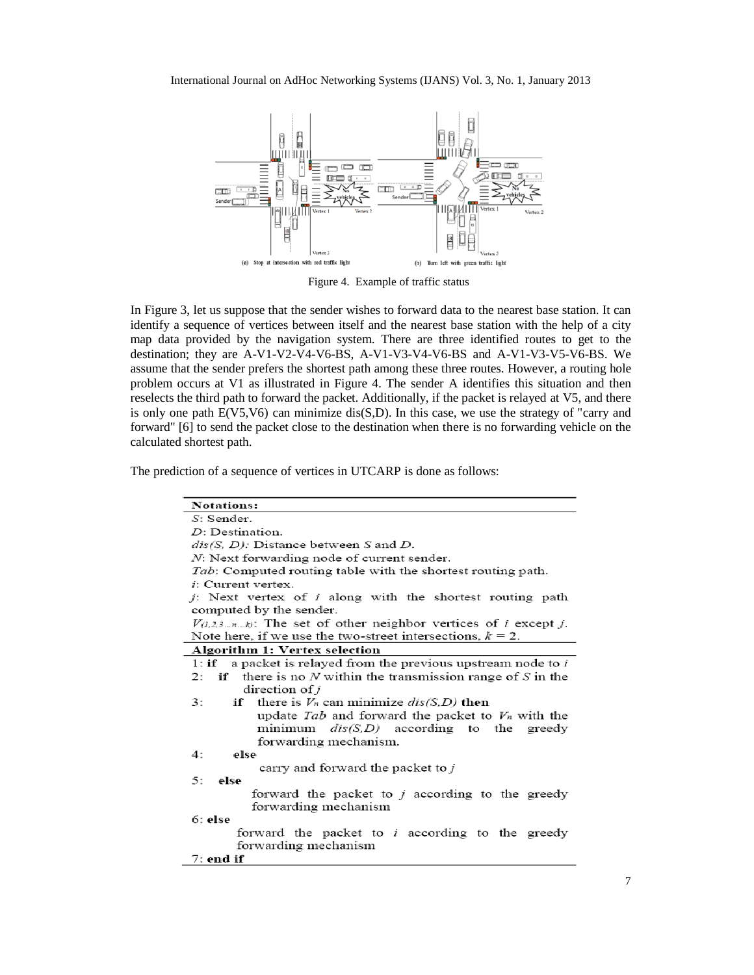

Figure 4. Example of traffic status

In Figure 3, let us suppose that the sender wishes to forward data to the nearest base station. It can identify a sequence of vertices between itself and the nearest base station with the help of a city map data provided by the navigation system. There are three identified routes to get to the destination; they are A-V1-V2-V4-V6-BS, A-V1-V3-V4-V6-BS and A-V1-V3-V5-V6-BS. We assume that the sender prefers the shortest path among these three routes. However, a routing hole problem occurs at V1 as illustrated in Figure 4. The sender A identifies this situation and then reselects the third path to forward the packet. Additionally, if the packet is relayed at V5, and there is only one path  $E(V5,V6)$  can minimize dis $(S,D)$ . In this case, we use the strategy of "carry and forward" [6] to send the packet close to the destination when there is no forwarding vehicle on the calculated shortest path.

The prediction of a sequence of vertices in UTCARP is done as follows:

| <b>Notations:</b>                                                    |  |  |  |
|----------------------------------------------------------------------|--|--|--|
| S: Sender.                                                           |  |  |  |
| D: Destination.                                                      |  |  |  |
| $dis(S, D)$ : Distance between S and D.                              |  |  |  |
| N: Next forwarding node of current sender.                           |  |  |  |
| Tab: Computed routing table with the shortest routing path.          |  |  |  |
| $i$ : Current vertex.                                                |  |  |  |
| $j$ : Next vertex of i along with the shortest routing path          |  |  |  |
| computed by the sender.                                              |  |  |  |
| $V_{(1,2,3nk)}$ : The set of other neighbor vertices of i except j.  |  |  |  |
| Note here, if we use the two-street intersections, $k = 2$ .         |  |  |  |
| Algorithm 1: Vertex selection                                        |  |  |  |
| 1: if a packet is relayed from the previous upstream node to $i$     |  |  |  |
| if there is no $N$ within the transmission range of $S$ in the<br>2: |  |  |  |
| direction of j                                                       |  |  |  |
| if there is $V_n$ can minimize $dis(S, D)$ then<br>3:                |  |  |  |
| update Tab and forward the packet to $V_n$ with the                  |  |  |  |
| minimum $dis(S, D)$ according to the greedy                          |  |  |  |
| forwarding mechanism.                                                |  |  |  |
| 4:<br>else                                                           |  |  |  |
| carry and forward the packet to j                                    |  |  |  |
| 5:<br>else                                                           |  |  |  |
| forward the packet to $j$ according to the greedy                    |  |  |  |
| forwarding mechanism                                                 |  |  |  |
| 6: else                                                              |  |  |  |
| forward the packet to $i$ according to the greedy                    |  |  |  |
| forwarding mechanism                                                 |  |  |  |
| 7: end if                                                            |  |  |  |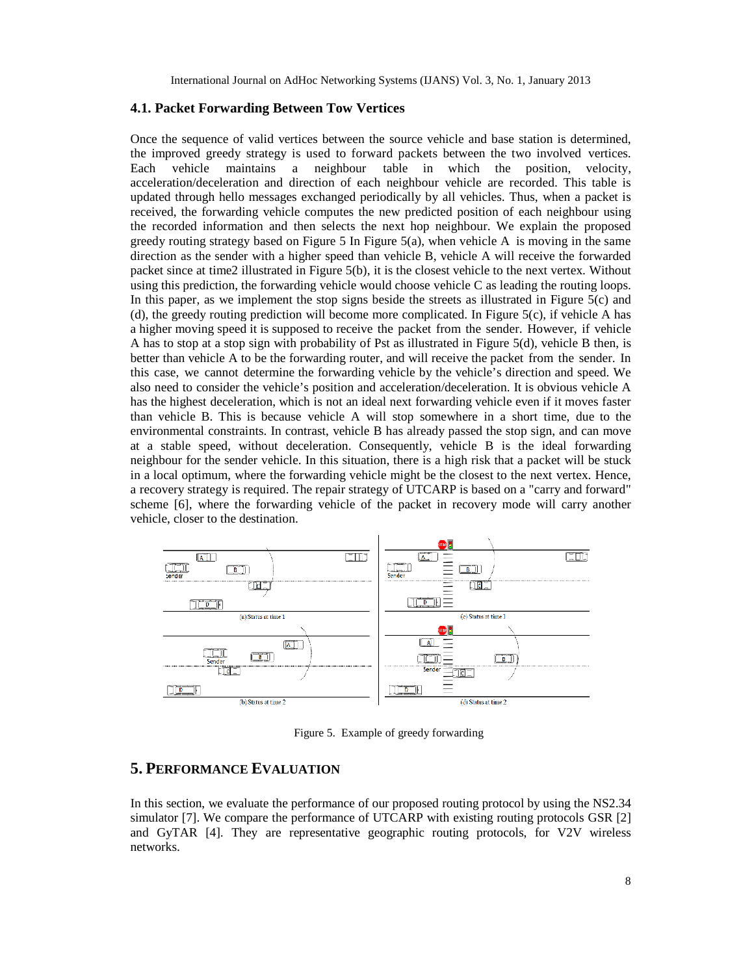#### **4.1. Packet Forwarding Between Tow Vertices**

Once the sequence of valid vertices between the source vehicle and base station is determined, the improved greedy strategy is used to forward packets between the two involved vertices. Each vehicle maintains a neighbour table in which the position, velocity, acceleration/deceleration and direction of each neighbour vehicle are recorded. This table is updated through hello messages exchanged periodically by all vehicles. Thus, when a packet is received, the forwarding vehicle computes the new predicted position of each neighbour using the recorded information and then selects the next hop neighbour. We explain the proposed greedy routing strategy based on Figure 5 In Figure 5(a), when vehicle A is moving in the same direction as the sender with a higher speed than vehicle B, vehicle A will receive the forwarded packet since at time2 illustrated in Figure 5(b), it is the closest vehicle to the next vertex. Without using this prediction, the forwarding vehicle would choose vehicle C as leading the routing loops. In this paper, as we implement the stop signs beside the streets as illustrated in Figure 5(c) and (d), the greedy routing prediction will become more complicated. In Figure 5(c), if vehicle A has a higher moving speed it is supposed to receive the packet from the sender. However, if vehicle A has to stop at a stop sign with probability of Pst as illustrated in Figure 5(d), vehicle B then, is better than vehicle A to be the forwarding router, and will receive the packet from the sender. In this case, we cannot determine the forwarding vehicle by the vehicle's direction and speed. We also need to consider the vehicle's position and acceleration/deceleration. It is obvious vehicle A has the highest deceleration, which is not an ideal next forwarding vehicle even if it moves faster than vehicle B. This is because vehicle A will stop somewhere in a short time, due to the environmental constraints. In contrast, vehicle B has already passed the stop sign, and can move at a stable speed, without deceleration. Consequently, vehicle B is the ideal forwarding neighbour for the sender vehicle. In this situation, there is a high risk that a packet will be stuck in a local optimum, where the forwarding vehicle might be the closest to the next vertex. Hence, a recovery strategy is required. The repair strategy of UTCARP is based on a "carry and forward" scheme [6], where the forwarding vehicle of the packet in recovery mode will carry another vehicle, closer to the destination.



Figure 5. Example of greedy forwarding

# **5. PERFORMANCE EVALUATION**

In this section, we evaluate the performance of our proposed routing protocol by using the NS2.34 simulator [7]. We compare the performance of UTCARP with existing routing protocols GSR [2] and GyTAR [4]. They are representative geographic routing protocols, for V2V wireless networks.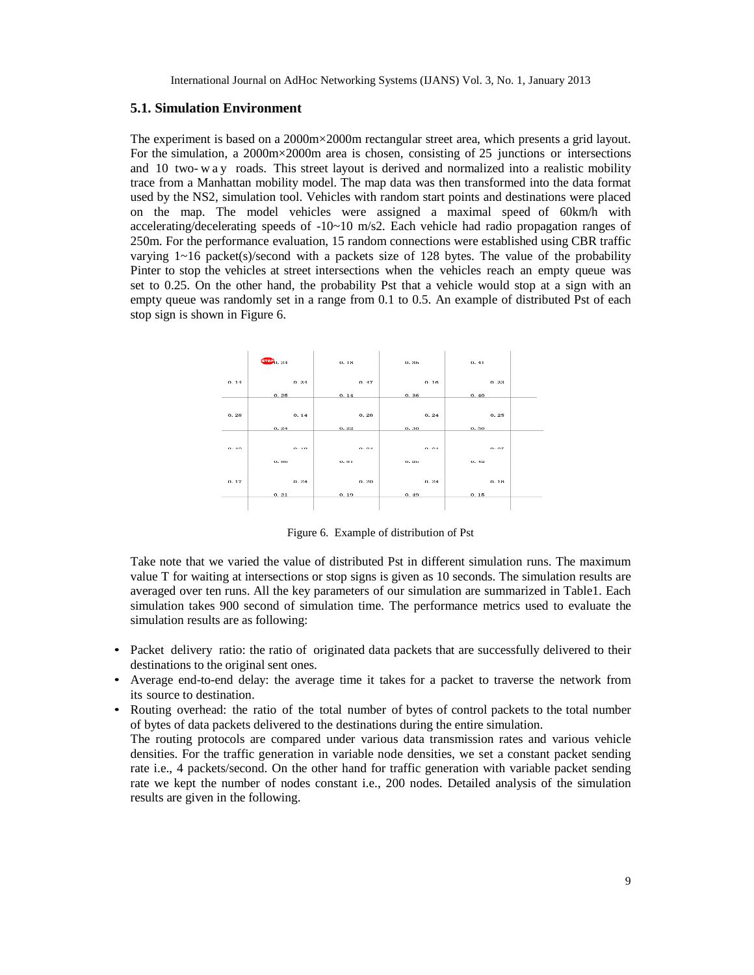#### **5.1. Simulation Environment**

The experiment is based on a 2000m×2000m rectangular street area, which presents a grid layout. For the simulation, a 2000m×2000m area is chosen, consisting of 25 junctions or intersections and 10 two-way roads. This street layout is derived and normalized into a realistic mobility trace from a Manhattan mobility model. The map data was then transformed into the data format used by the NS2, simulation tool. Vehicles with random start points and destinations were placed on the map. The model vehicles were assigned a maximal speed of 60km/h with accelerating/decelerating speeds of  $-10-10$  m/s2. Each vehicle had radio propagation ranges of 250m. For the performance evaluation, 15 random connections were established using CBR traffic varying  $1~16$  packet(s)/second with a packets size of 128 bytes. The value of the probability Pinter to stop the vehicles at street intersections when the vehicles reach an empty queue was set to 0.25. On the other hand, the probability Pst that a vehicle would stop at a sign with an empty queue was randomly set in a range from 0.1 to 0.5. An example of distributed Pst of each stop sign is shown in Figure 6.



Figure 6. Example of distribution of Pst

Take note that we varied the value of distributed Pst in different simulation runs. The maximum value T for waiting at intersections or stop signs is given as 10 seconds. The simulation results are averaged over ten runs. All the key parameters of our simulation are summarized in Table1. Each simulation takes 900 second of simulation time. The performance metrics used to evaluate the simulation results are as following:

- Packet delivery ratio: the ratio of originated data packets that are successfully delivered to their destinations to the original sent ones.
- Average end-to-end delay: the average time it takes for a packet to traverse the network from its source to destination.
- Routing overhead: the ratio of the total number of bytes of control packets to the total number of bytes of data packets delivered to the destinations during the entire simulation.

The routing protocols are compared under various data transmission rates and various vehicle densities. For the traffic generation in variable node densities, we set a constant packet sending rate i.e., 4 packets/second. On the other hand for traffic generation with variable packet sending rate we kept the number of nodes constant i.e., 200 nodes. Detailed analysis of the simulation results are given in the following.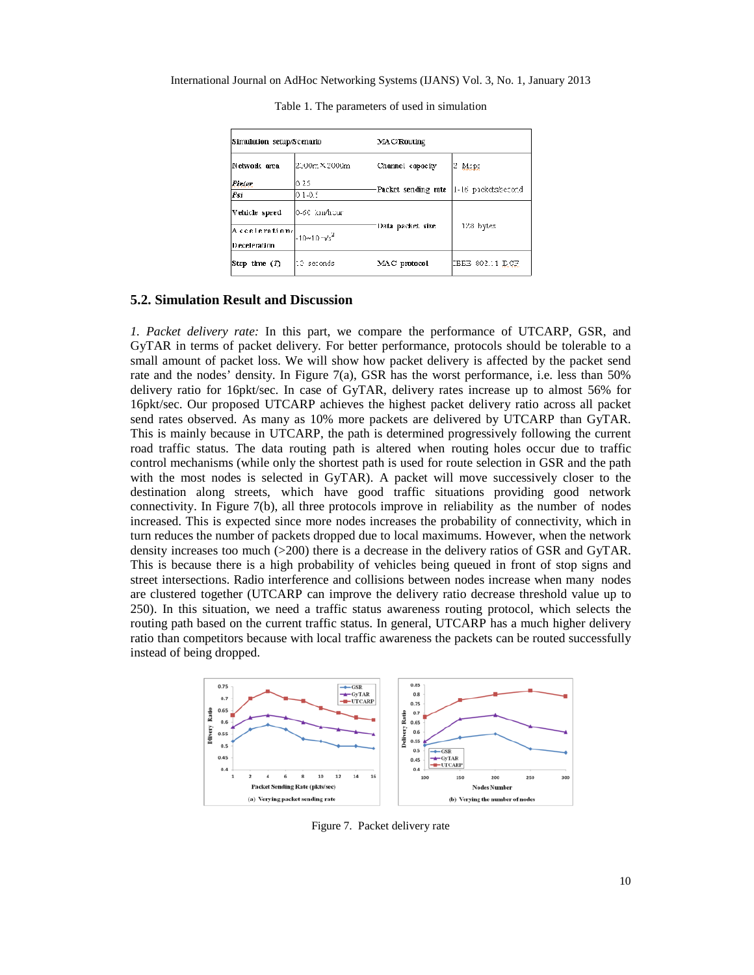| Simulation setup/Scenario      |                       | <b>MACRouting</b>     |                       |  |
|--------------------------------|-----------------------|-----------------------|-----------------------|--|
| Network area                   | 2000m × 2000m         | Channel capacity      | 12 Mapa               |  |
| Pinter<br>lPsi                 | lo 25<br>$01 - 0.5$   | -Packet sending rate  | [1-16] packets/second |  |
| Vehicle speed                  | 10-60 kuufusun        |                       |                       |  |
| A cceleratinn <br>Deceleration | $-10 \times 10^{-15}$ | Data packet size      | 128 bytes             |  |
| Stop time $(T)$                | 10 seconds.           | $M\Lambda$ C protocol | EEEE 802.11 DCF       |  |

Table 1. The parameters of used in simulation

#### **5.2. Simulation Result and Discussion**

*1. Packet delivery rate:* In this part, we compare the performance of UTCARP, GSR, and GyTAR in terms of packet delivery. For better performance, protocols should be tolerable to a small amount of packet loss. We will show how packet delivery is affected by the packet send rate and the nodes' density. In Figure  $7(a)$ , GSR has the worst performance, i.e. less than 50% delivery ratio for 16pkt/sec. In case of GyTAR, delivery rates increase up to almost 56% for 16pkt/sec. Our proposed UTCARP achieves the highest packet delivery ratio across all packet send rates observed. As many as 10% more packets are delivered by UTCARP than GyTAR. This is mainly because in UTCARP, the path is determined progressively following the current road traffic status. The data routing path is altered when routing holes occur due to traffic control mechanisms (while only the shortest path is used for route selection in GSR and the path with the most nodes is selected in GyTAR). A packet will move successively closer to the destination along streets, which have good traffic situations providing good network connectivity. In Figure 7(b), all three protocols improve in reliability as the number of nodes increased. This is expected since more nodes increases the probability of connectivity, which in turn reduces the number of packets dropped due to local maximums. However, when the network density increases too much (>200) there is a decrease in the delivery ratios of GSR and GyTAR. This is because there is a high probability of vehicles being queued in front of stop signs and street intersections. Radio interference and collisions between nodes increase when many nodes are clustered together (UTCARP can improve the delivery ratio decrease threshold value up to 250). In this situation, we need a traffic status awareness routing protocol, which selects the routing path based on the current traffic status. In general, UTCARP has a much higher delivery ratio than competitors because with local traffic awareness the packets can be routed successfully instead of being dropped.



Figure 7. Packet delivery rate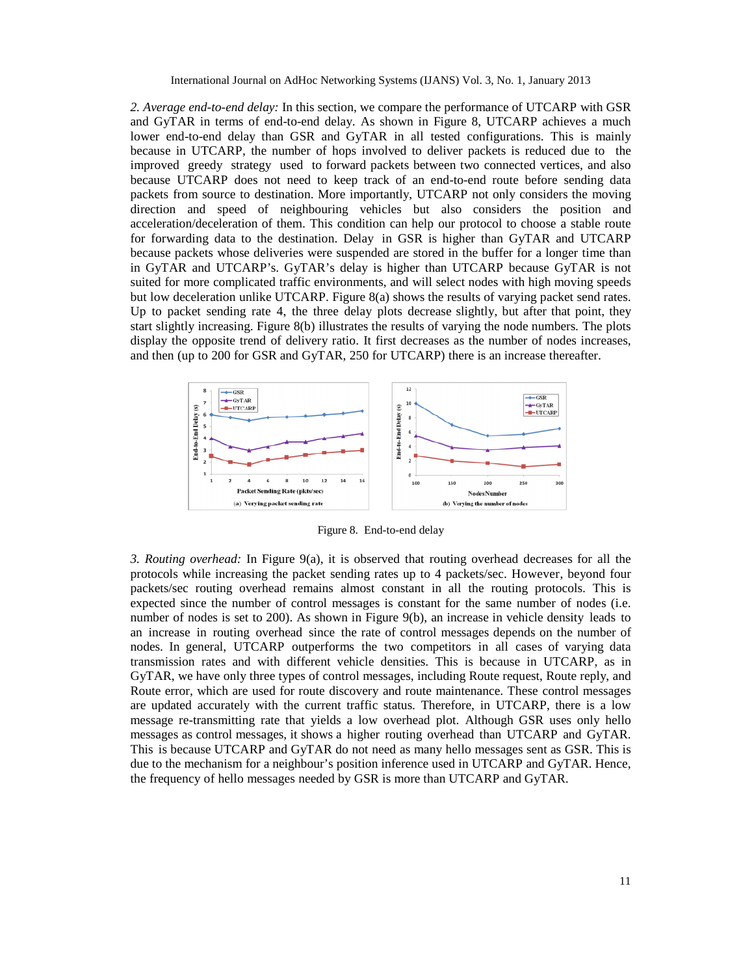*2. Average end-to-end delay:* In this section, we compare the performance of UTCARP with GSR and GyTAR in terms of end-to-end delay. As shown in Figure 8, UTCARP achieves a much lower end-to-end delay than GSR and GyTAR in all tested configurations. This is mainly because in UTCARP, the number of hops involved to deliver packets is reduced due to the improved greedy strategy used to forward packets between two connected vertices, and also because UTCARP does not need to keep track of an end-to-end route before sending data packets from source to destination. More importantly, UTCARP not only considers the moving direction and speed of neighbouring vehicles but also considers the position and acceleration/deceleration of them. This condition can help our protocol to choose a stable route for forwarding data to the destination. Delay in GSR is higher than GyTAR and UTCARP because packets whose deliveries were suspended are stored in the buffer for a longer time than in GyTAR and UTCARP's. GyTAR's delay is higher than UTCARP because GyTAR is not suited for more complicated traffic environments, and will select nodes with high moving speeds but low deceleration unlike UTCARP. Figure 8(a) shows the results of varying packet send rates. Up to packet sending rate 4, the three delay plots decrease slightly, but after that point, they start slightly increasing. Figure 8(b) illustrates the results of varying the node numbers. The plots display the opposite trend of delivery ratio. It first decreases as the number of nodes increases, and then (up to 200 for GSR and GyTAR, 250 for UTCARP) there is an increase thereafter.



Figure 8. End-to-end delay

*3. Routing overhead:* In Figure 9(a), it is observed that routing overhead decreases for all the protocols while increasing the packet sending rates up to 4 packets/sec. However, beyond four packets/sec routing overhead remains almost constant in all the routing protocols. This is expected since the number of control messages is constant for the same number of nodes (i.e. number of nodes is set to 200). As shown in Figure 9(b), an increase in vehicle density leads to an increase in routing overhead since the rate of control messages depends on the number of nodes. In general, UTCARP outperforms the two competitors in all cases of varying data transmission rates and with different vehicle densities. This is because in UTCARP, as in GyTAR, we have only three types of control messages, including Route request, Route reply, and Route error, which are used for route discovery and route maintenance. These control messages are updated accurately with the current traffic status. Therefore, in UTCARP, there is a low message re-transmitting rate that yields a low overhead plot. Although GSR uses only hello messages as control messages, it shows a higher routing overhead than UTCARP and GyTAR. This is because UTCARP and GyTAR do not need as many hello messages sent as GSR. This is due to the mechanism for a neighbour's position inference used in UTCARP and GyTAR. Hence, the frequency of hello messages needed by GSR is more than UTCARP and GyTAR.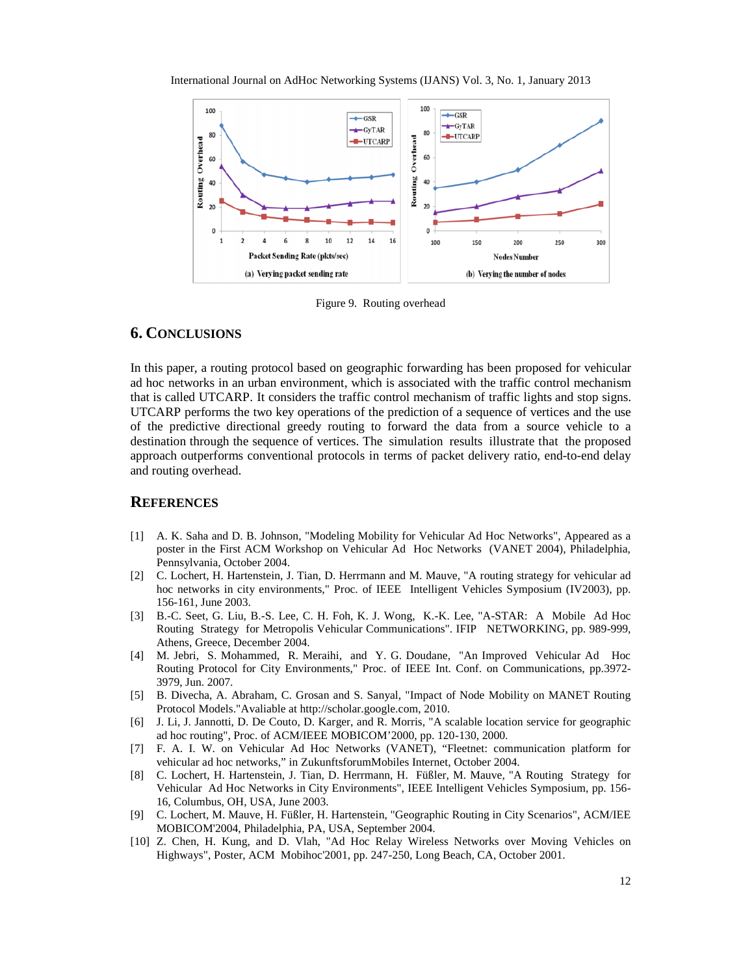Figure9. Routing overhead

# 6. CONCLUSIONS

In this paper, a routing protocol based on geographic forwarding has been proposed for vehicular ad hocnetworks in anurbanenvironment, which is associated with the traffic control mechanism that is called UTCARP. It considers the traffic control mechanism of traffic lights and stop signs. UTCARP performs the two key operations of the prediction of a sequence of vertices and the use of the predictive directional greedy routing to forward the data from a source vehicle to a destination through the sequence of vertices. The simulation results illustrate that the proposed approachoutperforms conventional protocols in terms of packet delivery ratio, end-to-end delay and routing overhead.

# **REFERENCES**

- [1] A. K. Saha and D. B. Johnson, "Modeling Midt for Vehicular Ad Hoc Networks", Appeared as a poster in the First ACM Workshop on Vehicular Ad Hoc Networks (VANET 2004), Philadelphia, Pennsylvania, October 2004.
- [2] C. Lochert, H. Hartenstein, J. Tian, D. Herrmann and M. Mauve, "A routing optrictie vehicular ad hoc networks in city environments," Proc. of IEEE Intelligent Vehicles Symposium (IV2003), pp. 156-161, June 2003.
- [3] B.-C. Seet, G. Liu, BS. Lee, C. H. Foh, K. J. Wong, K. Lee, "A-STAR: A Mobile Ad Hoc Routing Strategy folMetropolis Vehicular Communications". IFIP NETWORKING, pp. 99999, Athens, Greece, December 2004.
- [4] M. Jebri, S. Mohammed, R. Meraihi, and Y. G. Doudane, "An Improved Vehicular Ad Hoc Routing Protocol for City Environments," Proc. of IEEEI. Conf. on Communications, pp.3972 3979, Jun. 2007.
- [5] B. Divecha, A. Abraham, C. Grosan and S. Sanyal, "Impact of Node Mobility on MANET Routing Protocol Models."Avaliable [at http://scholar.google.c](http://scholar.google.com)om, 2010.
- [6] J. Li, J. Jannotti, D. De Couto, D. Kerr, and R. Morris, "A scalable location service for geographic ad hoc routing", Proc. of ACM/IEEE MOBICOM•2000, pp. 4230, 2000.
- [7] F. A. I. W. on Vehicular Ad Hoc Networks (VANET), ƒFleetnet: communication platform for vehicular ad hoc networks,,, in KunftsforumMobiles Internet, October 2004.
- [8] C. Lochert, H. Hartenstein, J. Tian, D. Herrmann, H. Füßler, M. Mauve, "A Routing Strategy for Vehicular Ad Hoc Networks in City Environments", IEEE Intelligent Vehicles Symposium, pp. 156 - 16, ColumbusOH, USA, June 2003.
- [9] C. Lochert, M. Mauve, H. Füßler, H. Hartenstein, "Geographic Routing in City Scenarios", ACM/IEE MOBICOM'2004, Philadelphia, PA, USA, September 2004.
- [10] Z. Chen, H. Kung, and D. Vlah, "Ad Hoc Relay Wireless Networks over Mowebricles on Highways", Poster, ACM Mobihoc'2001, pp. 2450, Long Beach, CA, October 2001.